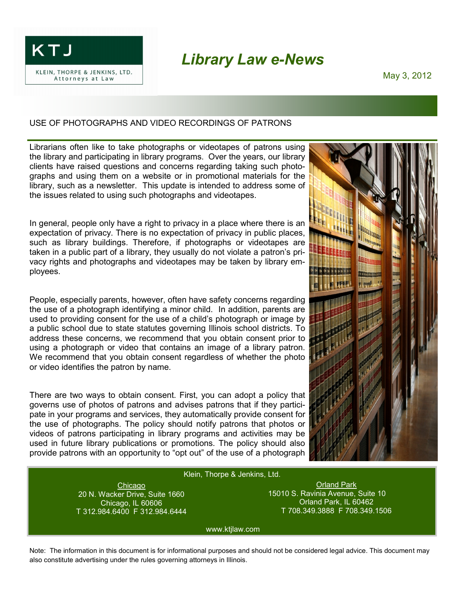KTJ

KLEIN, THORPE & JENKINS, LTD. Attorneys at Law

## *Library Law e-News*

May 3, 2012

## USE OF PHOTOGRAPHS AND VIDEO RECORDINGS OF PATRONS

Librarians often like to take photographs or videotapes of patrons using the library and participating in library programs. Over the years, our library clients have raised questions and concerns regarding taking such photographs and using them on a website or in promotional materials for the library, such as a newsletter. This update is intended to address some of the issues related to using such photographs and videotapes.

In general, people only have a right to privacy in a place where there is an expectation of privacy. There is no expectation of privacy in public places, such as library buildings. Therefore, if photographs or videotapes are taken in a public part of a library, they usually do not violate a patron's privacy rights and photographs and videotapes may be taken by library employees.

People, especially parents, however, often have safety concerns regarding the use of a photograph identifying a minor child. In addition, parents are used to providing consent for the use of a child's photograph or image by a public school due to state statutes governing Illinois school districts. To address these concerns, we recommend that you obtain consent prior to using a photograph or video that contains an image of a library patron. We recommend that you obtain consent regardless of whether the photo or video identifies the patron by name.

There are two ways to obtain consent. First, you can adopt a policy that governs use of photos of patrons and advises patrons that if they participate in your programs and services, they automatically provide consent for the use of photographs. The policy should notify patrons that photos or videos of patrons participating in library programs and activities may be used in future library publications or promotions. The policy should also provide patrons with an opportunity to "opt out" of the use of a photograph



## Klein, Thorpe & Jenkins, Ltd. Klein, Thorpe & Jenkins, Ltd.

Chicago Chicago 20 N. Wacker Drive, Suite 1660 T 312.984.6400 F 312.984.6444 20 N. Wacker Drive, Suite 1660 Chicago, IL 60606

Orland Park Orland Park 15010 S. Ravinia Avenue, Suite 10 T 708.349.3888 F 708.349.1506 15010 S. Ravinia Avenue, Suite 10 Orland Park, IL 60462

www.ktjlaw.com www.ktjlaw.com

Note: The information in this document is for informational purposes and should not be considered legal advice. This document may also constitute advertising under the rules governing attorneys in Illinois.